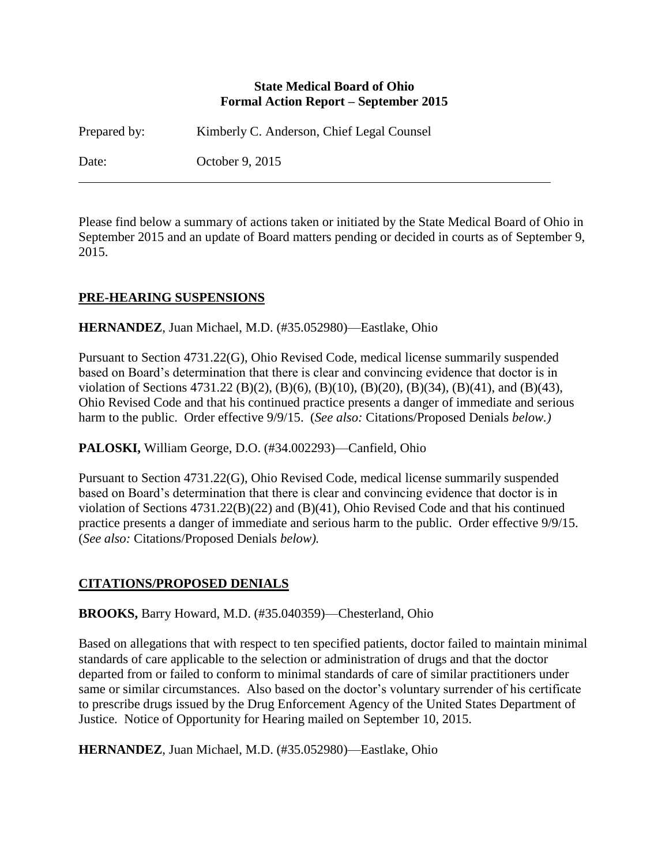#### **State Medical Board of Ohio Formal Action Report – September 2015**

Prepared by: Kimberly C. Anderson, Chief Legal Counsel

Date: October 9, 2015

Please find below a summary of actions taken or initiated by the State Medical Board of Ohio in September 2015 and an update of Board matters pending or decided in courts as of September 9, 2015.

### **PRE-HEARING SUSPENSIONS**

**HERNANDEZ**, Juan Michael, M.D. (#35.052980)—Eastlake, Ohio

Pursuant to Section 4731.22(G), Ohio Revised Code, medical license summarily suspended based on Board's determination that there is clear and convincing evidence that doctor is in violation of Sections 4731.22 (B)(2), (B)(6), (B)(10), (B)(20), (B)(34), (B)(41), and (B)(43), Ohio Revised Code and that his continued practice presents a danger of immediate and serious harm to the public. Order effective 9/9/15. (*See also:* Citations/Proposed Denials *below.)*

**PALOSKI,** William George, D.O. (#34.002293)—Canfield, Ohio

Pursuant to Section 4731.22(G), Ohio Revised Code, medical license summarily suspended based on Board's determination that there is clear and convincing evidence that doctor is in violation of Sections 4731.22(B)(22) and (B)(41), Ohio Revised Code and that his continued practice presents a danger of immediate and serious harm to the public. Order effective 9/9/15. (*See also:* Citations/Proposed Denials *below).*

# **CITATIONS/PROPOSED DENIALS**

**BROOKS,** Barry Howard, M.D. (#35.040359)—Chesterland, Ohio

Based on allegations that with respect to ten specified patients, doctor failed to maintain minimal standards of care applicable to the selection or administration of drugs and that the doctor departed from or failed to conform to minimal standards of care of similar practitioners under same or similar circumstances. Also based on the doctor's voluntary surrender of his certificate to prescribe drugs issued by the Drug Enforcement Agency of the United States Department of Justice. Notice of Opportunity for Hearing mailed on September 10, 2015.

**HERNANDEZ**, Juan Michael, M.D. (#35.052980)—Eastlake, Ohio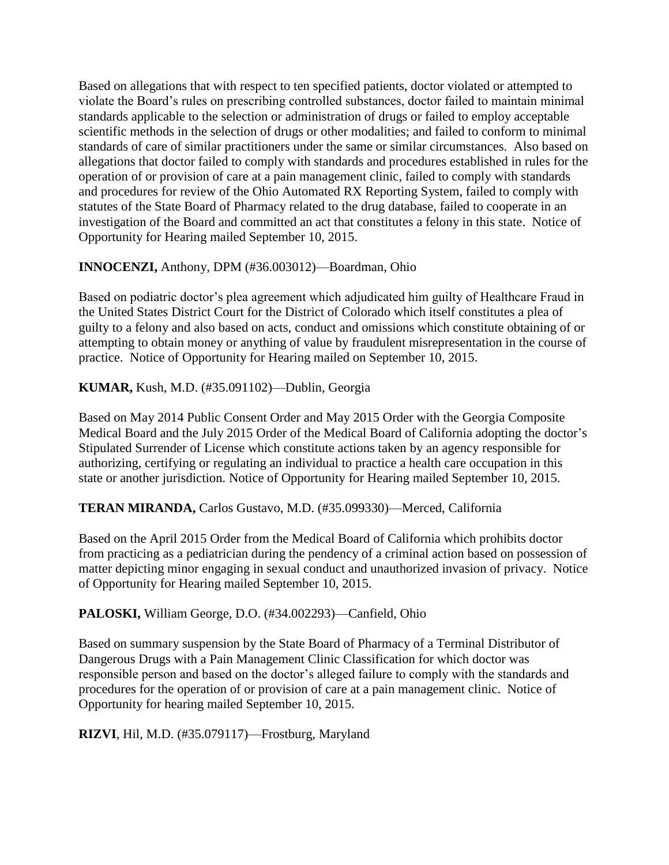Based on allegations that with respect to ten specified patients, doctor violated or attempted to violate the Board's rules on prescribing controlled substances, doctor failed to maintain minimal standards applicable to the selection or administration of drugs or failed to employ acceptable scientific methods in the selection of drugs or other modalities; and failed to conform to minimal standards of care of similar practitioners under the same or similar circumstances. Also based on allegations that doctor failed to comply with standards and procedures established in rules for the operation of or provision of care at a pain management clinic, failed to comply with standards and procedures for review of the Ohio Automated RX Reporting System, failed to comply with statutes of the State Board of Pharmacy related to the drug database, failed to cooperate in an investigation of the Board and committed an act that constitutes a felony in this state. Notice of Opportunity for Hearing mailed September 10, 2015.

**INNOCENZI,** Anthony, DPM (#36.003012)—Boardman, Ohio

Based on podiatric doctor's plea agreement which adjudicated him guilty of Healthcare Fraud in the United States District Court for the District of Colorado which itself constitutes a plea of guilty to a felony and also based on acts, conduct and omissions which constitute obtaining of or attempting to obtain money or anything of value by fraudulent misrepresentation in the course of practice. Notice of Opportunity for Hearing mailed on September 10, 2015.

**KUMAR,** Kush, M.D. (#35.091102)—Dublin, Georgia

Based on May 2014 Public Consent Order and May 2015 Order with the Georgia Composite Medical Board and the July 2015 Order of the Medical Board of California adopting the doctor's Stipulated Surrender of License which constitute actions taken by an agency responsible for authorizing, certifying or regulating an individual to practice a health care occupation in this state or another jurisdiction. Notice of Opportunity for Hearing mailed September 10, 2015.

**TERAN MIRANDA,** Carlos Gustavo, M.D. (#35.099330)—Merced, California

Based on the April 2015 Order from the Medical Board of California which prohibits doctor from practicing as a pediatrician during the pendency of a criminal action based on possession of matter depicting minor engaging in sexual conduct and unauthorized invasion of privacy. Notice of Opportunity for Hearing mailed September 10, 2015.

**PALOSKI,** William George, D.O. (#34.002293)—Canfield, Ohio

Based on summary suspension by the State Board of Pharmacy of a Terminal Distributor of Dangerous Drugs with a Pain Management Clinic Classification for which doctor was responsible person and based on the doctor's alleged failure to comply with the standards and procedures for the operation of or provision of care at a pain management clinic. Notice of Opportunity for hearing mailed September 10, 2015.

**RIZVI**, Hil, M.D. (#35.079117)—Frostburg, Maryland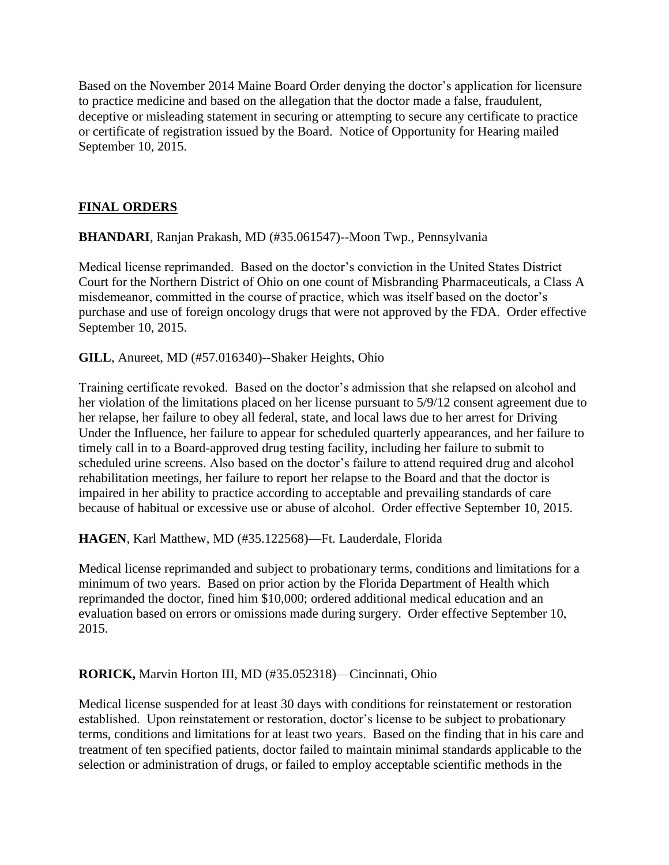Based on the November 2014 Maine Board Order denying the doctor's application for licensure to practice medicine and based on the allegation that the doctor made a false, fraudulent, deceptive or misleading statement in securing or attempting to secure any certificate to practice or certificate of registration issued by the Board. Notice of Opportunity for Hearing mailed September 10, 2015.

# **FINAL ORDERS**

**BHANDARI**, Ranjan Prakash, MD (#35.061547)--Moon Twp., Pennsylvania

Medical license reprimanded. Based on the doctor's conviction in the United States District Court for the Northern District of Ohio on one count of Misbranding Pharmaceuticals, a Class A misdemeanor, committed in the course of practice, which was itself based on the doctor's purchase and use of foreign oncology drugs that were not approved by the FDA. Order effective September 10, 2015.

**GILL**, Anureet, MD (#57.016340)--Shaker Heights, Ohio

Training certificate revoked. Based on the doctor's admission that she relapsed on alcohol and her violation of the limitations placed on her license pursuant to 5/9/12 consent agreement due to her relapse, her failure to obey all federal, state, and local laws due to her arrest for Driving Under the Influence, her failure to appear for scheduled quarterly appearances, and her failure to timely call in to a Board-approved drug testing facility, including her failure to submit to scheduled urine screens. Also based on the doctor's failure to attend required drug and alcohol rehabilitation meetings, her failure to report her relapse to the Board and that the doctor is impaired in her ability to practice according to acceptable and prevailing standards of care because of habitual or excessive use or abuse of alcohol. Order effective September 10, 2015.

**HAGEN**, Karl Matthew, MD (#35.122568)—Ft. Lauderdale, Florida

Medical license reprimanded and subject to probationary terms, conditions and limitations for a minimum of two years. Based on prior action by the Florida Department of Health which reprimanded the doctor, fined him \$10,000; ordered additional medical education and an evaluation based on errors or omissions made during surgery. Order effective September 10, 2015.

#### **RORICK,** Marvin Horton III, MD (#35.052318)—Cincinnati, Ohio

Medical license suspended for at least 30 days with conditions for reinstatement or restoration established. Upon reinstatement or restoration, doctor's license to be subject to probationary terms, conditions and limitations for at least two years. Based on the finding that in his care and treatment of ten specified patients, doctor failed to maintain minimal standards applicable to the selection or administration of drugs, or failed to employ acceptable scientific methods in the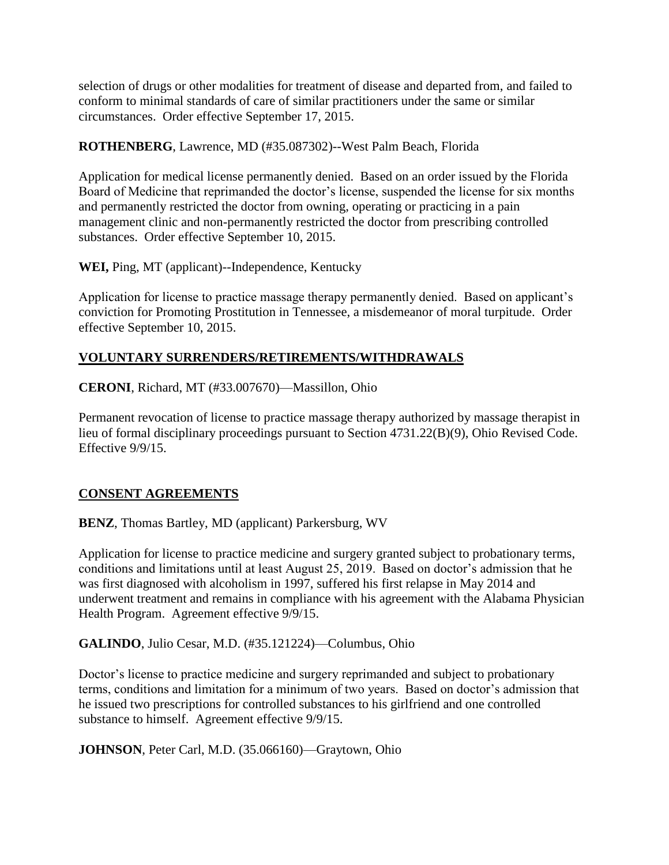selection of drugs or other modalities for treatment of disease and departed from, and failed to conform to minimal standards of care of similar practitioners under the same or similar circumstances. Order effective September 17, 2015.

### **ROTHENBERG**, Lawrence, MD (#35.087302)--West Palm Beach, Florida

Application for medical license permanently denied. Based on an order issued by the Florida Board of Medicine that reprimanded the doctor's license, suspended the license for six months and permanently restricted the doctor from owning, operating or practicing in a pain management clinic and non-permanently restricted the doctor from prescribing controlled substances. Order effective September 10, 2015.

**WEI,** Ping, MT (applicant)--Independence, Kentucky

Application for license to practice massage therapy permanently denied. Based on applicant's conviction for Promoting Prostitution in Tennessee, a misdemeanor of moral turpitude. Order effective September 10, 2015.

# **VOLUNTARY SURRENDERS/RETIREMENTS/WITHDRAWALS**

**CERONI**, Richard, MT (#33.007670)—Massillon, Ohio

Permanent revocation of license to practice massage therapy authorized by massage therapist in lieu of formal disciplinary proceedings pursuant to Section 4731.22(B)(9), Ohio Revised Code. Effective 9/9/15.

#### **CONSENT AGREEMENTS**

**BENZ**, Thomas Bartley, MD (applicant) Parkersburg, WV

Application for license to practice medicine and surgery granted subject to probationary terms, conditions and limitations until at least August 25, 2019. Based on doctor's admission that he was first diagnosed with alcoholism in 1997, suffered his first relapse in May 2014 and underwent treatment and remains in compliance with his agreement with the Alabama Physician Health Program. Agreement effective 9/9/15.

**GALINDO**, Julio Cesar, M.D. (#35.121224)—Columbus, Ohio

Doctor's license to practice medicine and surgery reprimanded and subject to probationary terms, conditions and limitation for a minimum of two years. Based on doctor's admission that he issued two prescriptions for controlled substances to his girlfriend and one controlled substance to himself. Agreement effective 9/9/15.

**JOHNSON**, Peter Carl, M.D. (35.066160)—Graytown, Ohio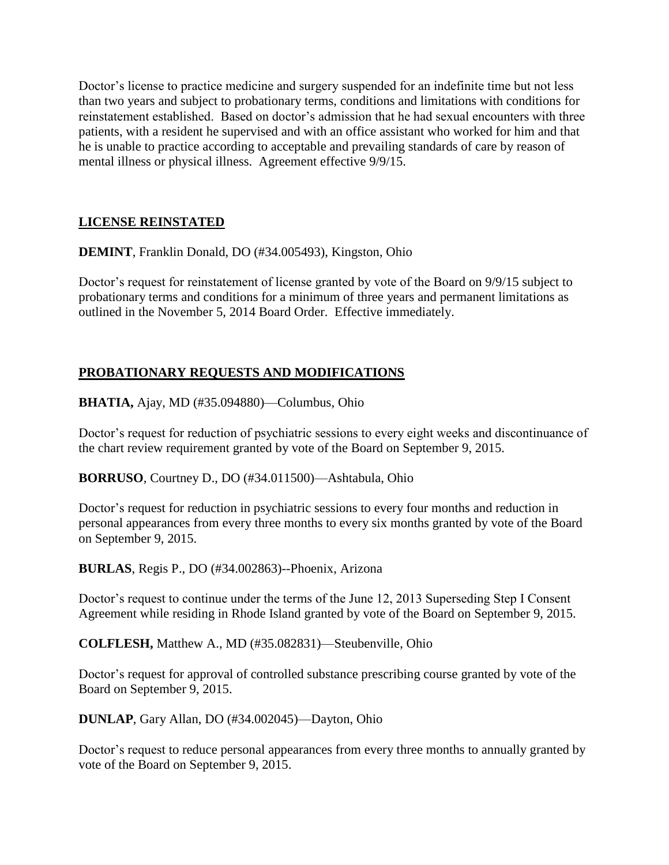Doctor's license to practice medicine and surgery suspended for an indefinite time but not less than two years and subject to probationary terms, conditions and limitations with conditions for reinstatement established. Based on doctor's admission that he had sexual encounters with three patients, with a resident he supervised and with an office assistant who worked for him and that he is unable to practice according to acceptable and prevailing standards of care by reason of mental illness or physical illness. Agreement effective 9/9/15.

# **LICENSE REINSTATED**

**DEMINT**, Franklin Donald, DO (#34.005493), Kingston, Ohio

Doctor's request for reinstatement of license granted by vote of the Board on 9/9/15 subject to probationary terms and conditions for a minimum of three years and permanent limitations as outlined in the November 5, 2014 Board Order. Effective immediately.

# **PROBATIONARY REQUESTS AND MODIFICATIONS**

**BHATIA,** Ajay, MD (#35.094880)—Columbus, Ohio

Doctor's request for reduction of psychiatric sessions to every eight weeks and discontinuance of the chart review requirement granted by vote of the Board on September 9, 2015.

**BORRUSO**, Courtney D., DO (#34.011500)—Ashtabula, Ohio

Doctor's request for reduction in psychiatric sessions to every four months and reduction in personal appearances from every three months to every six months granted by vote of the Board on September 9, 2015.

**BURLAS**, Regis P., DO (#34.002863)--Phoenix, Arizona

Doctor's request to continue under the terms of the June 12, 2013 Superseding Step I Consent Agreement while residing in Rhode Island granted by vote of the Board on September 9, 2015.

**COLFLESH,** Matthew A., MD (#35.082831)—Steubenville, Ohio

Doctor's request for approval of controlled substance prescribing course granted by vote of the Board on September 9, 2015.

**DUNLAP**, Gary Allan, DO (#34.002045)—Dayton, Ohio

Doctor's request to reduce personal appearances from every three months to annually granted by vote of the Board on September 9, 2015.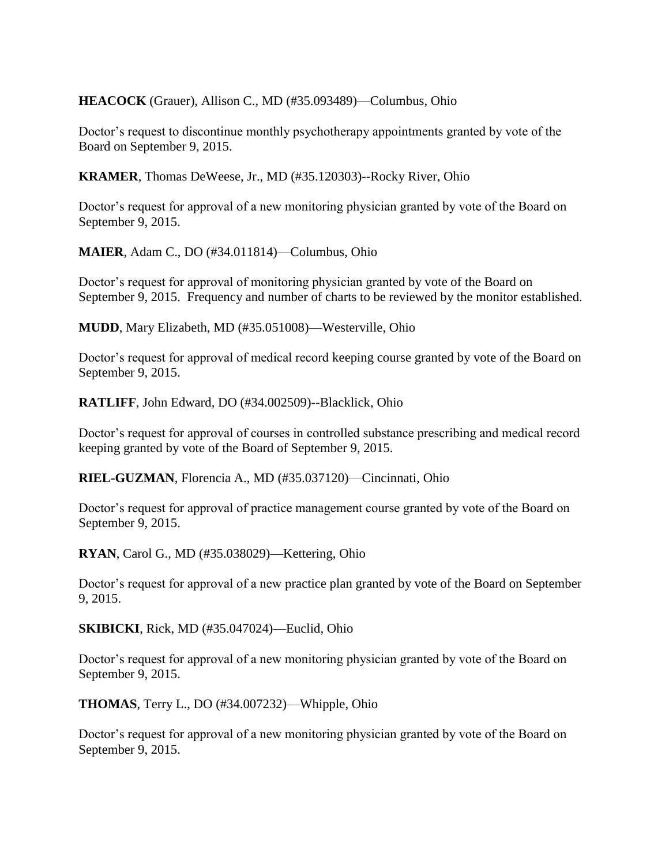**HEACOCK** (Grauer), Allison C., MD (#35.093489)—Columbus, Ohio

Doctor's request to discontinue monthly psychotherapy appointments granted by vote of the Board on September 9, 2015.

**KRAMER**, Thomas DeWeese, Jr., MD (#35.120303)--Rocky River, Ohio

Doctor's request for approval of a new monitoring physician granted by vote of the Board on September 9, 2015.

**MAIER**, Adam C., DO (#34.011814)—Columbus, Ohio

Doctor's request for approval of monitoring physician granted by vote of the Board on September 9, 2015. Frequency and number of charts to be reviewed by the monitor established.

**MUDD**, Mary Elizabeth, MD (#35.051008)—Westerville, Ohio

Doctor's request for approval of medical record keeping course granted by vote of the Board on September 9, 2015.

**RATLIFF**, John Edward, DO (#34.002509)--Blacklick, Ohio

Doctor's request for approval of courses in controlled substance prescribing and medical record keeping granted by vote of the Board of September 9, 2015.

**RIEL-GUZMAN**, Florencia A., MD (#35.037120)—Cincinnati, Ohio

Doctor's request for approval of practice management course granted by vote of the Board on September 9, 2015.

**RYAN**, Carol G., MD (#35.038029)—Kettering, Ohio

Doctor's request for approval of a new practice plan granted by vote of the Board on September 9, 2015.

**SKIBICKI**, Rick, MD (#35.047024)—Euclid, Ohio

Doctor's request for approval of a new monitoring physician granted by vote of the Board on September 9, 2015.

**THOMAS**, Terry L., DO (#34.007232)—Whipple, Ohio

Doctor's request for approval of a new monitoring physician granted by vote of the Board on September 9, 2015.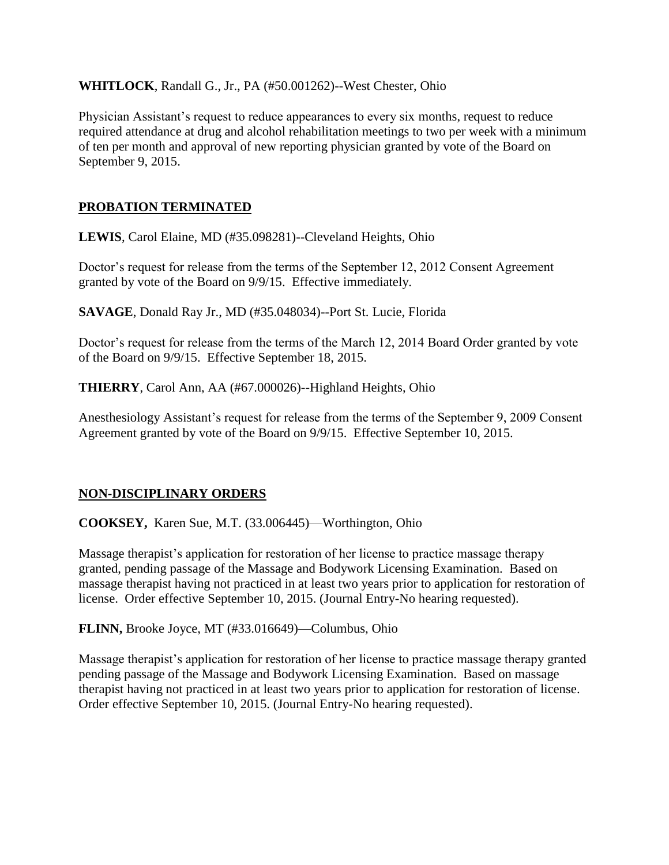**WHITLOCK**, Randall G., Jr., PA (#50.001262)--West Chester, Ohio

Physician Assistant's request to reduce appearances to every six months, request to reduce required attendance at drug and alcohol rehabilitation meetings to two per week with a minimum of ten per month and approval of new reporting physician granted by vote of the Board on September 9, 2015.

### **PROBATION TERMINATED**

**LEWIS**, Carol Elaine, MD (#35.098281)--Cleveland Heights, Ohio

Doctor's request for release from the terms of the September 12, 2012 Consent Agreement granted by vote of the Board on 9/9/15. Effective immediately.

**SAVAGE**, Donald Ray Jr., MD (#35.048034)--Port St. Lucie, Florida

Doctor's request for release from the terms of the March 12, 2014 Board Order granted by vote of the Board on 9/9/15. Effective September 18, 2015.

**THIERRY**, Carol Ann, AA (#67.000026)--Highland Heights, Ohio

Anesthesiology Assistant's request for release from the terms of the September 9, 2009 Consent Agreement granted by vote of the Board on 9/9/15. Effective September 10, 2015.

#### **NON-DISCIPLINARY ORDERS**

**COOKSEY,** Karen Sue, M.T. (33.006445)—Worthington, Ohio

Massage therapist's application for restoration of her license to practice massage therapy granted, pending passage of the Massage and Bodywork Licensing Examination. Based on massage therapist having not practiced in at least two years prior to application for restoration of license. Order effective September 10, 2015. (Journal Entry-No hearing requested).

**FLINN,** Brooke Joyce, MT (#33.016649)—Columbus, Ohio

Massage therapist's application for restoration of her license to practice massage therapy granted pending passage of the Massage and Bodywork Licensing Examination. Based on massage therapist having not practiced in at least two years prior to application for restoration of license. Order effective September 10, 2015. (Journal Entry-No hearing requested).